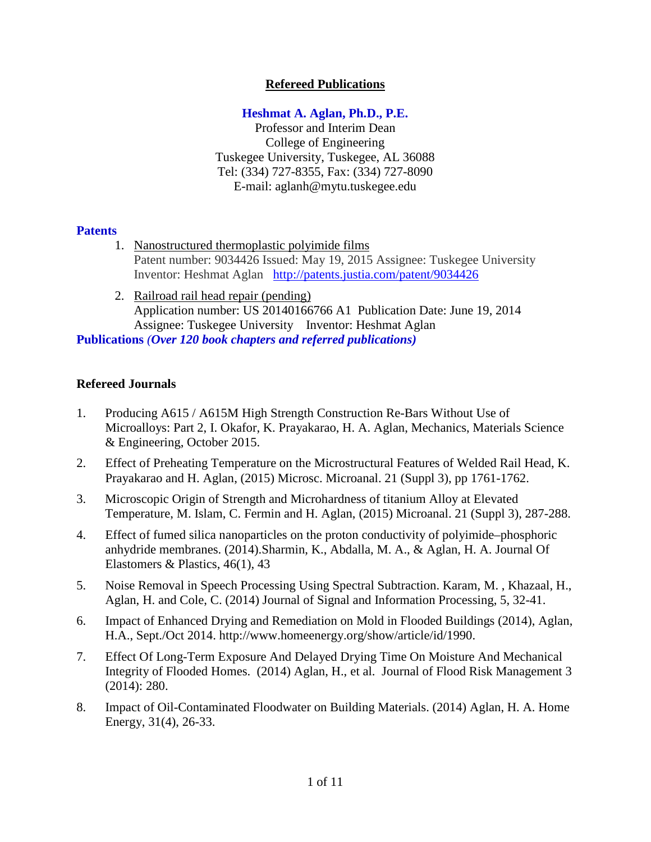# **Refereed Publications**

# **Heshmat A. Aglan, Ph.D., P.E.**

Professor and Interim Dean College of Engineering Tuskegee University, Tuskegee, AL 36088 Tel: (334) 727-8355, Fax: (334) 727-8090 E-mail: aglanh@mytu.tuskegee.edu

## **Patents**

- 1. [Nanostructured thermoplastic polyimide films](http://patents.justia.com/patent/9034426) Patent number: 9034426 Issued: May 19, 2015 Assignee: Tuskegee University Inventor: Heshmat Aglan <http://patents.justia.com/patent/9034426>
- 2. Railroad rail head repair (pending) Application number: US 20140166766 A1 Publication Date: June 19, 2014 Assignee: Tuskegee University Inventor: Heshmat Aglan

**Publications** *(Over 120 book chapters and referred publications)* 

## **Refereed Journals**

- 1. Producing A615 / A615M High Strength Construction Re-Bars Without Use of Microalloys: Part 2, I. Okafor, K. Prayakarao, H. A. Aglan, Mechanics, Materials Science & Engineering, October 2015.
- 2. Effect of Preheating Temperature on the Microstructural Features of Welded Rail Head, K. Prayakarao and H. Aglan, (2015) Microsc. Microanal. 21 (Suppl 3), pp 1761-1762.
- 3. Microscopic Origin of Strength and Microhardness of titanium Alloy at Elevated Temperature, M. Islam, C. Fermin and H. Aglan, (2015) Microanal. 21 (Suppl 3), 287-288.
- 4. Effect of fumed silica nanoparticles on the proton conductivity of polyimide–phosphoric anhydride membranes. (2014).Sharmin, K., Abdalla, M. A., & Aglan, H. A. Journal Of Elastomers & Plastics, 46(1), 43
- 5. Noise Removal in Speech Processing Using Spectral Subtraction. Karam, M. , Khazaal, H., Aglan, H. and Cole, C. (2014) Journal of Signal and Information Processing, 5, 32-41.
- 6. Impact of Enhanced Drying and Remediation on Mold in Flooded Buildings (2014), Aglan, H.A., Sept./Oct 2014. http://www.homeenergy.org/show/article/id/1990.
- 7. Effect Of Long-Term Exposure And Delayed Drying Time On Moisture And Mechanical Integrity of Flooded Homes. (2014) Aglan, H., et al. Journal of Flood Risk Management 3 (2014): 280.
- 8. Impact of Oil-Contaminated Floodwater on Building Materials. (2014) Aglan, H. A. Home Energy, 31(4), 26-33.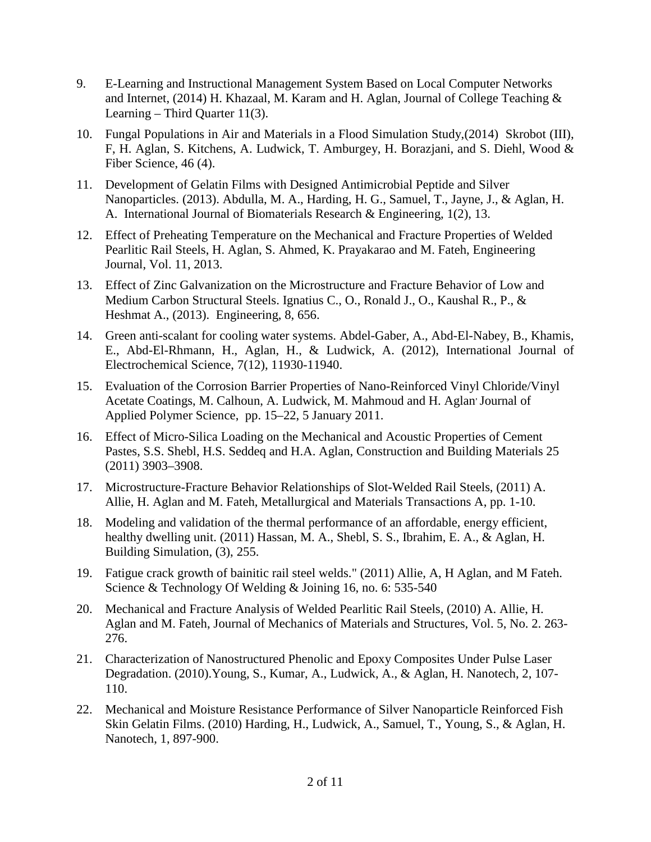- 9. E-Learning and Instructional Management System Based on Local Computer Networks and Internet, (2014) H. Khazaal, M. Karam and H. Aglan, Journal of College Teaching & Learning – Third Quarter 11(3).
- 10. [Fungal Populations in Air and Materials in a Flood Simulation Study,](http://www.swst.org/publications/wfs/preprints/46(3)/WFS1727.pdf)(2014) Skrobot (III), F, H. Aglan, S. Kitchens, A. Ludwick, T. Amburgey, H. Borazjani, and S. Diehl, Wood & Fiber Science, 46 (4).
- 11. Development of Gelatin Films with Designed Antimicrobial Peptide and Silver Nanoparticles. (2013). Abdulla, M. A., Harding, H. G., Samuel, T., Jayne, J., & Aglan, H. A. International Journal of Biomaterials Research & Engineering, 1(2), 13.
- 12. Effect of Preheating Temperature on the Mechanical and Fracture Properties of Welded Pearlitic Rail Steels, H. Aglan, S. Ahmed, K. Prayakarao and M. Fateh, Engineering Journal, Vol. 11, 2013.
- 13. Effect of Zinc Galvanization on the Microstructure and Fracture Behavior of Low and Medium Carbon Structural Steels. Ignatius C., O., Ronald J., O., Kaushal R., P., & Heshmat A., (2013). Engineering, 8, 656.
- 14. Green anti-scalant for cooling water systems. Abdel-Gaber, A., Abd-El-Nabey, B., Khamis, E., Abd-El-Rhmann, H., Aglan, H., & Ludwick, A. (2012), International Journal of Electrochemical Science, 7(12), 11930-11940.
- 15. Evaluation of the Corrosion Barrier Properties of Nano-Reinforced Vinyl Chloride/Vinyl Acetate Coatings, M. Calhoun, A. Ludwick, M. Mahmoud and H. Aglan Journal of Applied Polymer Science, pp. 15–22, 5 January 2011.
- 16. Effect of Micro-Silica Loading on the Mechanical and Acoustic Properties of Cement Pastes, S.S. Shebl, H.S. Seddeq and H.A. Aglan, Construction and Building Materials 25 (2011) 3903–3908.
- 17. Microstructure-Fracture Behavior Relationships of Slot-Welded Rail Steels, (2011) [A.](http://www.citeulike.org/author/Allie:A) [Allie,](http://www.citeulike.org/author/Allie:A) H. [Aglan](http://www.citeulike.org/author/Aglan:H) and M. [Fateh,](http://www.citeulike.org/author/Fateh:M) Metallurgical and Materials Transactions A, pp. 1-10.
- 18. Modeling and validation of the thermal performance of an affordable, energy efficient, healthy dwelling unit. (2011) Hassan, M. A., Shebl, S. S., Ibrahim, E. A., & Aglan, H. Building Simulation, (3), 255.
- 19. Fatigue crack growth of bainitic rail steel welds." (2011) Allie, A, H Aglan, and M Fateh. Science & Technology Of Welding & Joining 16, no. 6: 535-540
- 20. Mechanical and Fracture Analysis of Welded Pearlitic Rail Steels, (2010) A. Allie, H. Aglan and M. Fateh, Journal of Mechanics of Materials and Structures, Vol. 5, No. 2. 263- 276.
- 21. Characterization of Nanostructured Phenolic and Epoxy Composites Under Pulse Laser Degradation. (2010).Young, S., Kumar, A., Ludwick, A., & Aglan, H. Nanotech, 2, 107- 110.
- 22. Mechanical and Moisture Resistance Performance of Silver Nanoparticle Reinforced Fish Skin Gelatin Films. (2010) Harding, H., Ludwick, A., Samuel, T., Young, S., & Aglan, H. Nanotech, 1, 897-900.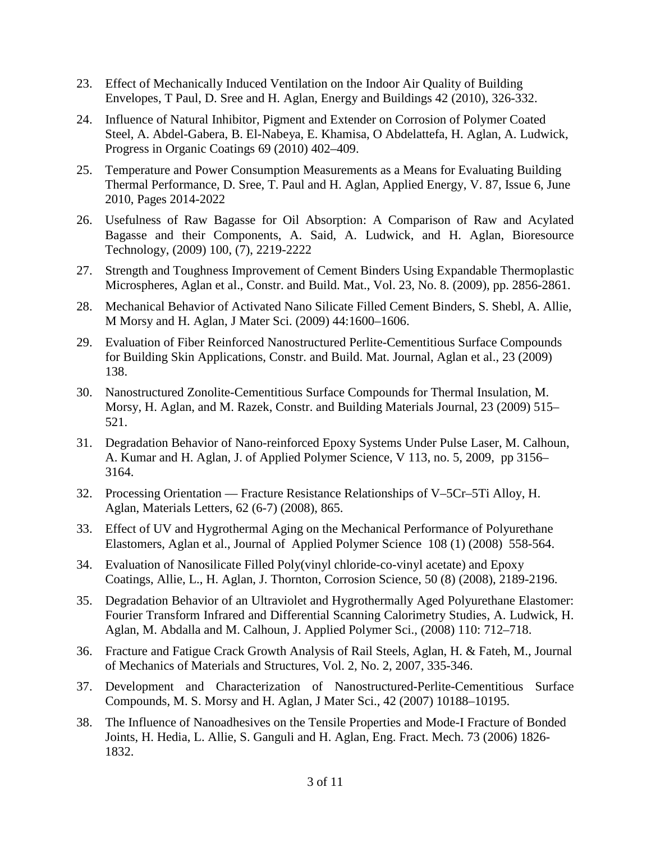- 23. Effect of Mechanically Induced Ventilation on the Indoor Air Quality of Building Envelopes, T Paul, D. Sree and H. Aglan, Energy and Buildings 42 (2010), 326-332.
- 24. Influence of Natural Inhibitor, Pigment and Extender on Corrosion of Polymer Coated Steel, A. Abdel-Gabera, B. El-Nabeya, E. Khamisa, O Abdelattefa, H. Aglan, A. Ludwick, Progress in Organic Coatings 69 (2010) 402–409.
- 25. Temperature and Power Consumption Measurements as a Means for Evaluating Building Thermal Performance, D. Sree, T. Paul and H. Aglan, Applied Energy, V. 87, Issue 6, June 2010, Pages 2014-2022
- 26. Usefulness of Raw Bagasse for Oil Absorption: A Comparison of Raw and Acylated Bagasse and their Components, A. Said, A. Ludwick, and H. Aglan, Bioresource Technology, (2009) 100, (7), 2219-2222
- 27. Strength and Toughness Improvement of Cement Binders Using Expandable Thermoplastic Microspheres, Aglan et al., Constr. and Build. Mat., Vol. 23, No. 8. (2009), pp. 2856-2861.
- 28. Mechanical Behavior of Activated Nano Silicate Filled Cement Binders, S. Shebl, A. Allie, M Morsy and H. Aglan, J Mater Sci. (2009) 44:1600–1606.
- 29. Evaluation of Fiber Reinforced Nanostructured Perlite-Cementitious Surface Compounds for Building Skin Applications, Constr. and Build. Mat. Journal, Aglan et al., 23 (2009) 138.
- 30. Nanostructured Zonolite-Cementitious Surface Compounds for Thermal Insulation, M. Morsy, H. Aglan, and M. Razek, Constr. and Building Materials Journal, 23 (2009) 515– 521.
- 31. Degradation Behavior of Nano-reinforced Epoxy Systems Under Pulse Laser, M. Calhoun, A. Kumar and H. Aglan, J. of Applied Polymer Science, [V 113, no.](http://onlinelibrary.wiley.com/doi/10.1002/app.v113:5/issuetoc) 5, 2009, pp 3156– 3164.
- 32. Processing Orientation Fracture Resistance Relationships of V–5Cr–5Ti Alloy, H. Aglan, Materials Letters, 62 (6-7) (2008), 865.
- 33. Effect of UV and Hygrothermal Aging on the Mechanical Performance of Polyurethane Elastomers, Aglan et al., Journal of Applied Polymer Science 108 (1) (2008) 558-564.
- 34. Evaluation of Nanosilicate Filled Poly(vinyl chloride-co-vinyl acetate) and Epoxy Coatings, Allie, L., H. Aglan, J. Thornton, Corrosion Science, 50 (8) (2008), 2189-2196.
- 35. Degradation Behavior of an Ultraviolet and Hygrothermally Aged Polyurethane Elastomer: Fourier Transform Infrared and Differential Scanning Calorimetry Studies, A. Ludwick, H. Aglan, M. Abdalla and M. Calhoun, J. Applied Polymer Sci., (2008) 110: 712–718.
- 36. Fracture and Fatigue Crack Growth Analysis of Rail Steels, Aglan, H. & Fateh, M., Journal of Mechanics of Materials and Structures, Vol. 2, No. 2, 2007, 335-346.
- 37. Development and Characterization of Nanostructured-Perlite-Cementitious Surface Compounds, M. S. Morsy and H. Aglan, J Mater Sci., 42 (2007) 10188–10195.
- 38. The Influence of Nanoadhesives on the Tensile Properties and Mode-I Fracture of Bonded Joints, H. Hedia, L. Allie, S. Ganguli and H. Aglan, Eng. Fract. Mech. 73 (2006) 1826- 1832.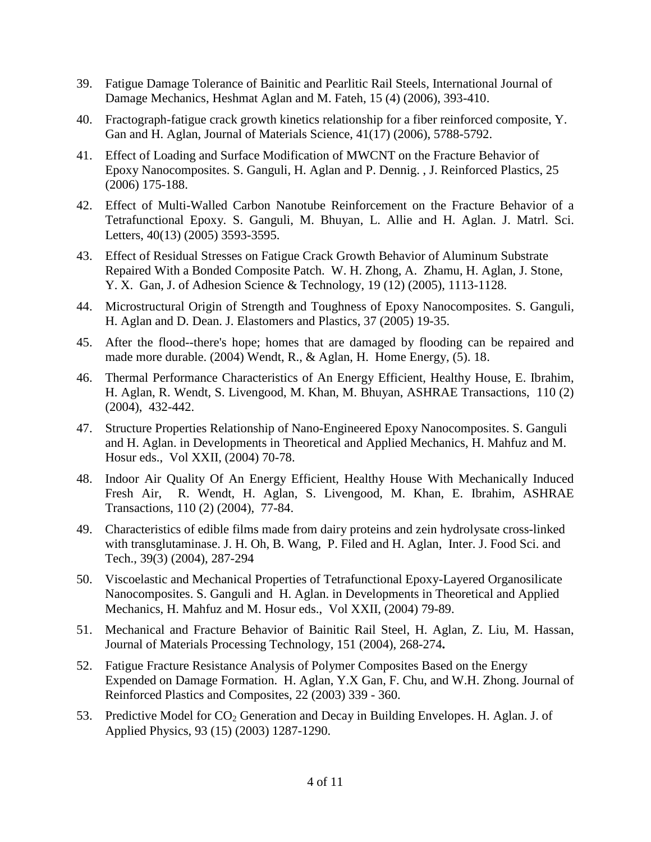- 39. Fatigue Damage Tolerance of Bainitic and Pearlitic Rail Steels, International Journal of Damage Mechanics, Heshmat Aglan and M. Fateh, 15 (4) (2006), 393-410.
- 40. Fractograph-fatigue crack growth kinetics relationship for a fiber reinforced composite, Y. Gan and H. Aglan, Journal of Materials Science, 41(17) (2006), 5788-5792.
- 41. Effect of Loading and Surface Modification of MWCNT on the Fracture Behavior of Epoxy Nanocomposites. S. Ganguli, H. Aglan and P. Dennig. , J. Reinforced Plastics, 25 (2006) 175-188.
- 42. Effect of Multi-Walled Carbon Nanotube Reinforcement on the Fracture Behavior of a Tetrafunctional Epoxy. S. Ganguli, M. Bhuyan, L. Allie and H. Aglan. J. Matrl. Sci. Letters, 40(13) (2005) 3593-3595.
- 43. Effect of Residual Stresses on Fatigue Crack Growth Behavior of Aluminum Substrate Repaired With a Bonded Composite Patch. W. H. Zhong, A. Zhamu, H. Aglan, J. Stone, Y. X. Gan, J. of Adhesion Science & Technology, 19 (12) (2005), 1113-1128.
- 44. Microstructural Origin of Strength and Toughness of Epoxy Nanocomposites. S. Ganguli, H. Aglan and D. Dean. J. Elastomers and Plastics, 37 (2005) 19-35.
- 45. After the flood--there's hope; homes that are damaged by flooding can be repaired and made more durable. (2004) Wendt, R., & Aglan, H. Home Energy, (5). 18.
- 46. Thermal Performance Characteristics of An Energy Efficient, Healthy House, E. Ibrahim, H. Aglan, R. Wendt, S. Livengood, M. Khan, M. Bhuyan, ASHRAE Transactions, 110 (2) (2004), 432-442.
- 47. Structure Properties Relationship of Nano-Engineered Epoxy Nanocomposites. S. Ganguli and H. Aglan. in Developments in Theoretical and Applied Mechanics, H. Mahfuz and M. Hosur eds., Vol XXII, (2004) 70-78.
- 48. Indoor Air Quality Of An Energy Efficient, Healthy House With Mechanically Induced Fresh Air, R. Wendt, H. Aglan, S. Livengood, M. Khan, E. Ibrahim, ASHRAE Transactions, 110 (2) (2004), 77-84.
- 49. Characteristics of edible films made from dairy proteins and zein hydrolysate cross-linked with transglutaminase. J. H. Oh, B. Wang, P. Filed and H. Aglan, Inter. J. Food Sci. and Tech., 39(3) (2004), 287-294
- 50. Viscoelastic and Mechanical Properties of Tetrafunctional Epoxy-Layered Organosilicate Nanocomposites. S. Ganguli and H. Aglan. in Developments in Theoretical and Applied Mechanics, H. Mahfuz and M. Hosur eds., Vol XXII, (2004) 79-89.
- 51. Mechanical and Fracture Behavior of Bainitic Rail Steel, H. Aglan, Z. Liu, M. Hassan, Journal of Materials Processing Technology, 151 (2004), 268-274**.**
- 52. Fatigue Fracture Resistance Analysis of Polymer Composites Based on the Energy Expended on Damage Formation. H. Aglan, Y.X Gan, F. Chu, and W.H. Zhong. Journal of Reinforced Plastics and Composites, 22 (2003) 339 - 360.
- 53. Predictive Model for  $CO<sub>2</sub>$  Generation and Decay in Building Envelopes. H. Aglan. J. of Applied Physics, 93 (15) (2003) 1287-1290.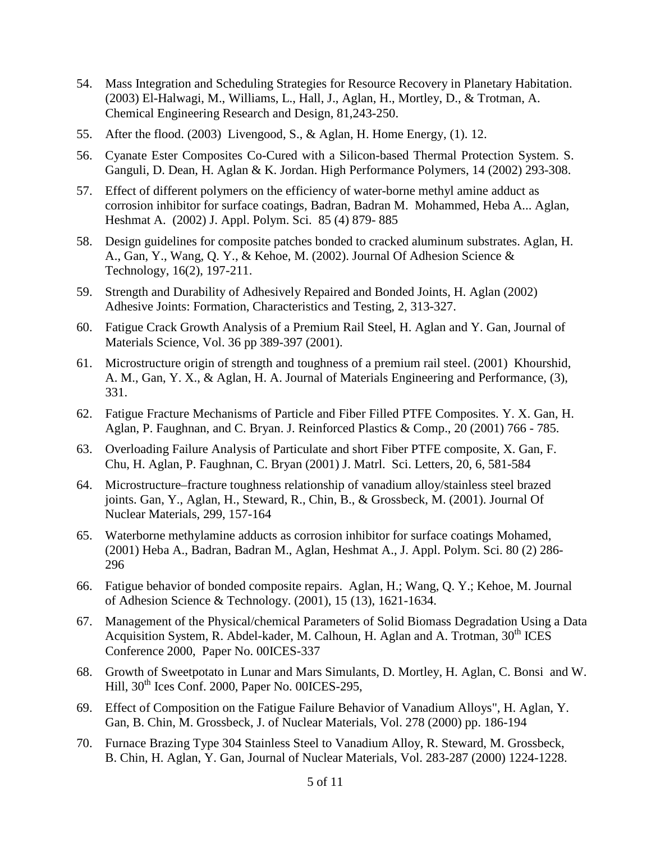- 54. Mass Integration and Scheduling Strategies for Resource Recovery in Planetary Habitation. (2003) El-Halwagi, M., Williams, L., Hall, J., Aglan, H., Mortley, D., & Trotman, A. Chemical Engineering Research and Design, 81,243-250.
- 55. After the flood. (2003) Livengood, S., & Aglan, H. Home Energy, (1). 12.
- 56. Cyanate Ester Composites Co-Cured with a Silicon-based Thermal Protection System. S. Ganguli, D. Dean, H. Aglan & K. Jordan. High Performance Polymers, 14 (2002) 293-308.
- 57. Effect of different polymers on the efficiency of water-borne methyl amine adduct as corrosion inhibitor for surface coatings, Badran, Badran M. Mohammed, Heba A... Aglan, Heshmat A. (2002) J. Appl. Polym. Sci. 85 (4) 879- 885
- 58. Design guidelines for composite patches bonded to cracked aluminum substrates. Aglan, H. A., Gan, Y., Wang, Q. Y., & Kehoe, M. (2002). Journal Of Adhesion Science & Technology, 16(2), 197-211.
- 59. Strength and Durability of Adhesively Repaired and Bonded Joints, H. Aglan (2002) Adhesive Joints: Formation, Characteristics and Testing, 2, 313-327.
- 60. Fatigue Crack Growth Analysis of a Premium Rail Steel, H. Aglan and Y. Gan, Journal of Materials Science, Vol. 36 pp 389-397 (2001).
- 61. Microstructure origin of strength and toughness of a premium rail steel. (2001) Khourshid, A. M., Gan, Y. X., & Aglan, H. A. Journal of Materials Engineering and Performance, (3), 331.
- 62. Fatigue Fracture Mechanisms of Particle and Fiber Filled PTFE Composites. Y. X. Gan, H. Aglan, P. Faughnan, and C. Bryan. J. Reinforced Plastics & Comp., 20 (2001) 766 - 785.
- 63. Overloading Failure Analysis of Particulate and short Fiber PTFE composite, X. Gan, F. Chu, H. Aglan, P. Faughnan, C. Bryan (2001) J. Matrl. Sci. Letters, 20, 6, 581-584
- 64. Microstructure–fracture toughness relationship of vanadium alloy/stainless steel brazed joints. Gan, Y., Aglan, H., Steward, R., Chin, B., & Grossbeck, M. (2001). Journal Of Nuclear Materials, 299, 157-164
- 65. Waterborne methylamine adducts as corrosion inhibitor for surface coatings Mohamed, (2001) Heba A., Badran, Badran M., Aglan, Heshmat A., J. Appl. Polym. Sci. 80 (2) 286- 296
- 66. Fatigue behavior of [bonded composite repairs.](http://eds.a.ebscohost.com.libdata.lib.ua.edu/eds/viewarticle?data=dGJyMPPp44rp2%2fdV0%2bnjisfk5Ie46bJNt6q3Ta%2bk63nn5Kx94um%2bSa6lsUewpq9Nnq%2b4S7awsk6et8s%2b8ujfhvHX4Yzn5eyB4rO0TbGotFG1prA%2b6tfsf7vb7D7i2Lt57t6kjN%2fdu1nMnN%2bGu6uyTK6qtEyk3O2K69fyVeTr6oTy2%2faM&hid=4105) Aglan, H.; Wang, Q. Y.; Kehoe, M. Journal of Adhesion Science & Technology. (2001), 15 (13), 1621-1634.
- 67. Management of the Physical/chemical Parameters of Solid Biomass Degradation Using a Data Acquisition System, R. Abdel-kader, M. Calhoun, H. Aglan and A. Trotman, 30<sup>th</sup> ICES Conference 2000, Paper No. 00ICES-337
- 68. Growth of Sweetpotato in Lunar and Mars Simulants, D. Mortley, H. Aglan, C. Bonsi and W. Hill,  $30<sup>th</sup>$  Ices Conf. 2000, Paper No. 00ICES-295,
- 69. Effect of Composition on the Fatigue Failure Behavior of Vanadium Alloys", H. Aglan, Y. Gan, B. Chin, M. Grossbeck, J. of Nuclear Materials, Vol. 278 (2000) pp. 186-194
- 70. Furnace Brazing Type 304 Stainless Steel to Vanadium Alloy, R. Steward, M. Grossbeck, B. Chin, H. Aglan, Y. Gan, Journal of Nuclear Materials, Vol. 283-287 (2000) 1224-1228.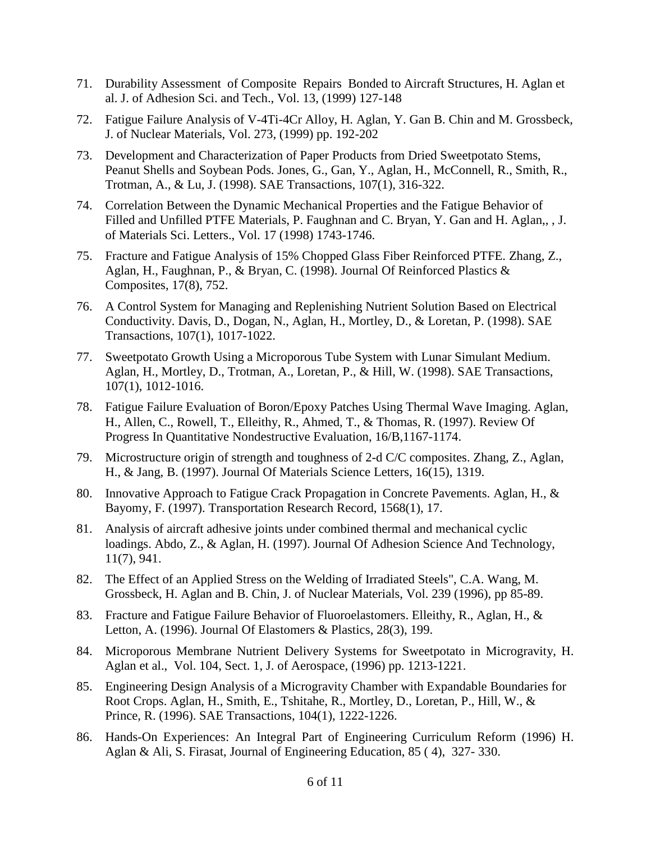- 71. Durability Assessment of Composite Repairs Bonded to Aircraft Structures, H. Aglan et al. J. of Adhesion Sci. and Tech., Vol. 13, (1999) 127-148
- 72. Fatigue Failure Analysis of V-4Ti-4Cr Alloy, H. Aglan, Y. Gan B. Chin and M. Grossbeck, J. of Nuclear Materials, Vol. 273, (1999) pp. 192-202
- 73. Development and Characterization of Paper Products from Dried Sweetpotato Stems, Peanut Shells and Soybean Pods. Jones, G., Gan, Y., Aglan, H., McConnell, R., Smith, R., Trotman, A., & Lu, J. (1998). SAE Transactions, 107(1), 316-322.
- 74. Correlation Between the Dynamic Mechanical Properties and the Fatigue Behavior of Filled and Unfilled PTFE Materials, P. Faughnan and C. Bryan, Y. Gan and H. Aglan,, , J. of Materials Sci. Letters., Vol. 17 (1998) 1743-1746.
- 75. Fracture and Fatigue Analysis of 15% Chopped Glass Fiber Reinforced PTFE. Zhang, Z., Aglan, H., Faughnan, P., & Bryan, C. (1998). Journal Of Reinforced Plastics & Composites, 17(8), 752.
- 76. A Control System for Managing and Replenishing Nutrient Solution Based on Electrical Conductivity. Davis, D., Dogan, N., Aglan, H., Mortley, D., & Loretan, P. (1998). SAE Transactions, 107(1), 1017-1022.
- 77. Sweetpotato Growth Using a Microporous Tube System with Lunar Simulant Medium. Aglan, H., Mortley, D., Trotman, A., Loretan, P., & Hill, W. (1998). SAE Transactions, 107(1), 1012-1016.
- 78. Fatigue Failure Evaluation of Boron/Epoxy Patches Using Thermal Wave Imaging. Aglan, H., Allen, C., Rowell, T., Elleithy, R., Ahmed, T., & Thomas, R. (1997). Review Of Progress In Quantitative Nondestructive Evaluation, 16/B,1167-1174.
- 79. Microstructure origin of strength and toughness of 2-d C/C composites. Zhang, Z., Aglan, H., & Jang, B. (1997). Journal Of Materials Science Letters, 16(15), 1319.
- 80. Innovative Approach to Fatigue Crack Propagation in Concrete Pavements. Aglan, H., & Bayomy, F. (1997). Transportation Research Record, 1568(1), 17.
- 81. Analysis of aircraft adhesive joints under combined thermal and mechanical cyclic loadings. Abdo, Z., & Aglan, H. (1997). Journal Of Adhesion Science And Technology, 11(7), 941.
- 82. The Effect of an Applied Stress on the Welding of Irradiated Steels", C.A. Wang, M. Grossbeck, H. Aglan and B. Chin, J. of Nuclear Materials, Vol. 239 (1996), pp 85-89.
- 83. Fracture and Fatigue Failure Behavior of Fluoroelastomers. Elleithy, R., Aglan, H., & Letton, A. (1996). Journal Of Elastomers & Plastics, 28(3), 199.
- 84. Microporous Membrane Nutrient Delivery Systems for Sweetpotato in Microgravity, H. Aglan et al., Vol. 104, Sect. 1, J. of Aerospace, (1996) pp. 1213-1221.
- 85. Engineering Design Analysis of a Microgravity Chamber with Expandable Boundaries for Root Crops. Aglan, H., Smith, E., Tshitahe, R., Mortley, D., Loretan, P., Hill, W., & Prince, R. (1996). SAE Transactions, 104(1), 1222-1226.
- 86. Hands-On Experiences: An Integral Part of Engineering Curriculum Reform (1996) H. Aglan & Ali, S. Firasat, Journal of Engineering Education, 85 ( 4), 327- 330.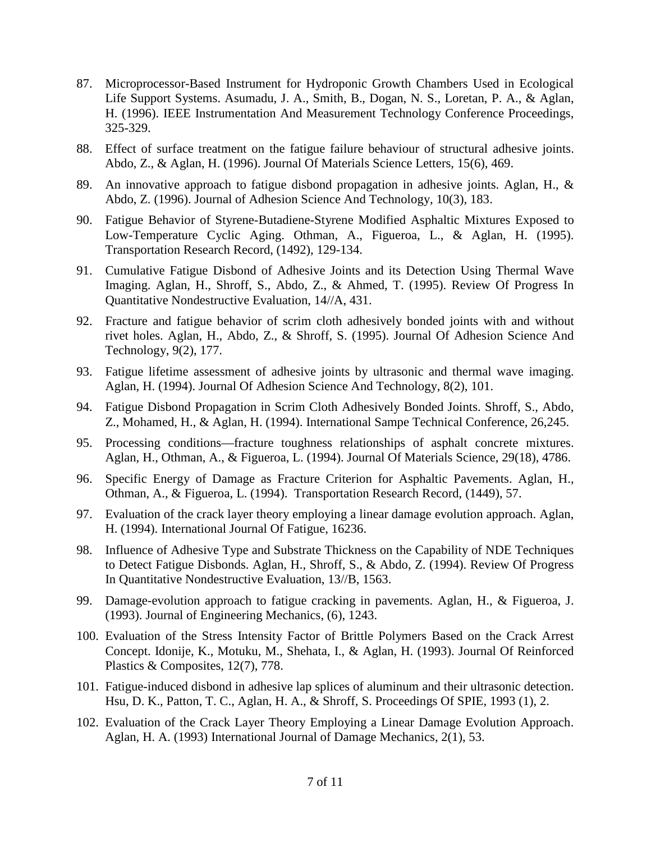- 87. Microprocessor-Based Instrument for Hydroponic Growth Chambers Used in Ecological Life Support Systems. Asumadu, J. A., Smith, B., Dogan, N. S., Loretan, P. A., & Aglan, H. (1996). IEEE Instrumentation And Measurement Technology Conference Proceedings, 325-329.
- 88. Effect of surface treatment on the fatigue failure behaviour of structural adhesive joints. Abdo, Z., & Aglan, H. (1996). Journal Of Materials Science Letters, 15(6), 469.
- 89. An innovative approach to fatigue disbond propagation in adhesive joints. Aglan, H., & Abdo, Z. (1996). Journal of Adhesion Science And Technology, 10(3), 183.
- 90. Fatigue Behavior of Styrene-Butadiene-Styrene Modified Asphaltic Mixtures Exposed to Low-Temperature Cyclic Aging. Othman, A., Figueroa, L., & Aglan, H. (1995). Transportation Research Record, (1492), 129-134.
- 91. Cumulative Fatigue Disbond of Adhesive Joints and its Detection Using Thermal Wave Imaging. Aglan, H., Shroff, S., Abdo, Z., & Ahmed, T. (1995). Review Of Progress In Quantitative Nondestructive Evaluation, 14//A, 431.
- 92. Fracture and fatigue behavior of scrim cloth adhesively bonded joints with and without rivet holes. Aglan, H., Abdo, Z., & Shroff, S. (1995). Journal Of Adhesion Science And Technology, 9(2), 177.
- 93. Fatigue lifetime assessment of adhesive joints by ultrasonic and thermal wave imaging. Aglan, H. (1994). Journal Of Adhesion Science And Technology, 8(2), 101.
- 94. Fatigue Disbond Propagation in Scrim Cloth Adhesively Bonded Joints. Shroff, S., Abdo, Z., Mohamed, H., & Aglan, H. (1994). International Sampe Technical Conference, 26,245.
- 95. Processing conditions—fracture toughness relationships of asphalt concrete mixtures. Aglan, H., Othman, A., & Figueroa, L. (1994). Journal Of Materials Science, 29(18), 4786.
- 96. Specific Energy of Damage as Fracture Criterion for Asphaltic Pavements. Aglan, H., Othman, A., & Figueroa, L. (1994). Transportation Research Record, (1449), 57.
- 97. Evaluation of the crack layer theory employing a linear damage evolution approach. Aglan, H. (1994). International Journal Of Fatigue, 16236.
- 98. Influence of Adhesive Type and Substrate Thickness on the Capability of NDE Techniques to Detect Fatigue Disbonds. Aglan, H., Shroff, S., & Abdo, Z. (1994). Review Of Progress In Quantitative Nondestructive Evaluation, 13//B, 1563.
- 99. Damage-evolution approach to fatigue cracking in pavements. Aglan, H., & Figueroa, J. (1993). Journal of Engineering Mechanics, (6), 1243.
- 100. Evaluation of the Stress Intensity Factor of Brittle Polymers Based on the Crack Arrest Concept. Idonije, K., Motuku, M., Shehata, I., & Aglan, H. (1993). Journal Of Reinforced Plastics & Composites, 12(7), 778.
- 101. Fatigue-induced disbond in adhesive lap splices of aluminum and their ultrasonic detection. Hsu, D. K., Patton, T. C., Aglan, H. A., & Shroff, S. Proceedings Of SPIE, 1993 (1), 2.
- 102. Evaluation of the Crack Layer Theory Employing a Linear Damage Evolution Approach. Aglan, H. A. (1993) International Journal of Damage Mechanics, 2(1), 53.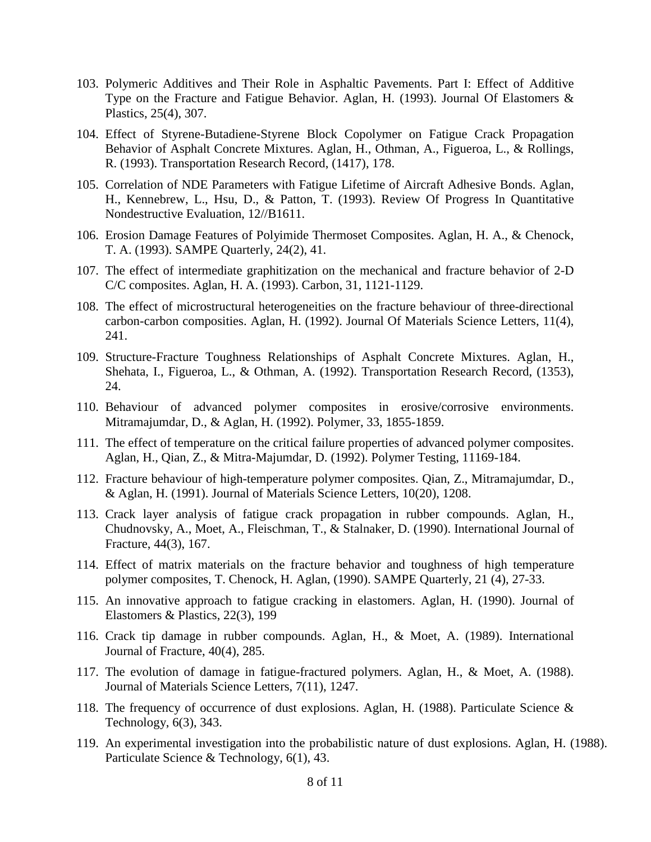- 103. Polymeric Additives and Their Role in Asphaltic Pavements. Part I: Effect of Additive Type on the Fracture and Fatigue Behavior. Aglan, H. (1993). Journal Of Elastomers & Plastics, 25(4), 307.
- 104. Effect of Styrene-Butadiene-Styrene Block Copolymer on Fatigue Crack Propagation Behavior of Asphalt Concrete Mixtures. Aglan, H., Othman, A., Figueroa, L., & Rollings, R. (1993). Transportation Research Record, (1417), 178.
- 105. Correlation of NDE Parameters with Fatigue Lifetime of Aircraft Adhesive Bonds. Aglan, H., Kennebrew, L., Hsu, D., & Patton, T. (1993). Review Of Progress In Quantitative Nondestructive Evaluation, 12//B1611.
- 106. Erosion Damage Features of Polyimide Thermoset Composites. Aglan, H. A., & Chenock, T. A. (1993). SAMPE Quarterly, 24(2), 41.
- 107. The effect of intermediate graphitization on the mechanical and fracture behavior of 2-D C/C composites. Aglan, H. A. (1993). Carbon, 31, 1121-1129.
- 108. The effect of microstructural heterogeneities on the fracture behaviour of three-directional carbon-carbon composities. Aglan, H. (1992). Journal Of Materials Science Letters, 11(4), 241.
- 109. Structure-Fracture Toughness Relationships of Asphalt Concrete Mixtures. Aglan, H., Shehata, I., Figueroa, L., & Othman, A. (1992). Transportation Research Record, (1353), 24.
- 110. Behaviour of advanced polymer composites in erosive/corrosive environments. Mitramajumdar, D., & Aglan, H. (1992). Polymer, 33, 1855-1859.
- 111. The effect of temperature on the critical failure properties of advanced polymer composites. Aglan, H., Qian, Z., & Mitra-Majumdar, D. (1992). Polymer Testing, 11169-184.
- 112. Fracture behaviour of high-temperature polymer composites. Qian, Z., Mitramajumdar, D., & Aglan, H. (1991). Journal of Materials Science Letters, 10(20), 1208.
- 113. Crack layer analysis of fatigue crack propagation in rubber compounds. Aglan, H., Chudnovsky, A., Moet, A., Fleischman, T., & Stalnaker, D. (1990). International Journal of Fracture, 44(3), 167.
- 114. Effect of matrix materials on the fracture behavior and toughness of high temperature polymer composites, T. Chenock, H. Aglan, (1990). SAMPE Quarterly, 21 (4), 27-33.
- 115. An innovative approach to fatigue cracking in elastomers. Aglan, H. (1990). Journal of Elastomers & Plastics, 22(3), 199
- 116. Crack tip damage in rubber compounds. Aglan, H., & Moet, A. (1989). International Journal of Fracture, 40(4), 285.
- 117. The evolution of damage in fatigue-fractured polymers. Aglan, H., & Moet, A. (1988). Journal of Materials Science Letters, 7(11), 1247.
- 118. The frequency of occurrence of dust explosions. Aglan, H. (1988). Particulate Science & Technology, 6(3), 343.
- 119. An experimental investigation into the probabilistic nature of dust explosions. Aglan, H. (1988). Particulate Science & Technology, 6(1), 43.